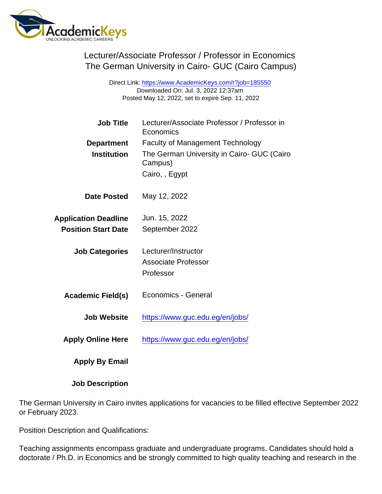Lecturer/Associate Professor / Professor in Economics The German University in Cairo- GUC (Cairo Campus)

> Direct Link: <https://www.AcademicKeys.com/r?job=185550> Downloaded On: Jul. 3, 2022 12:37am Posted May 12, 2022, set to expire Sep. 11, 2022

| <b>Job Title</b>            | Lecturer/Associate Professor / Professor in<br>Economics |
|-----------------------------|----------------------------------------------------------|
| Department                  | <b>Faculty of Management Technology</b>                  |
| Institution                 | The German University in Cairo- GUC (Cairo<br>Campus)    |
|                             | Cairo, , Egypt                                           |
| Date Posted                 | May 12, 2022                                             |
| <b>Application Deadline</b> | Jun. 15, 2022                                            |
| <b>Position Start Date</b>  | September 2022                                           |
| <b>Job Categories</b>       | Lecturer/Instructor                                      |
|                             | <b>Associate Professor</b>                               |
|                             | Professor                                                |
| Academic Field(s)           | Economics - General                                      |
| Job Website                 | https://www.guc.edu.eg/en/jobs/                          |
| <b>Apply Online Here</b>    | https://www.guc.edu.eg/en/jobs/                          |
| Apply By Email              |                                                          |
| <b>Job Description</b>      |                                                          |

The German University in Cairo invites applications for vacancies to be filled effective September 2022 or February 2023.

Position Description and Qualifications:

Teaching assignments encompass graduate and undergraduate programs. Candidates should hold a doctorate / Ph.D. in Economics and be strongly committed to high quality teaching and research in the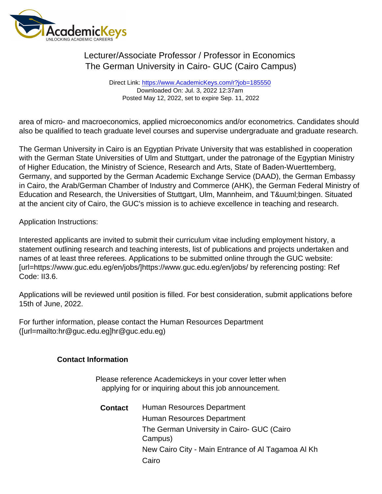## Lecturer/Associate Professor / Professor in Economics The German University in Cairo- GUC (Cairo Campus)

Direct Link: <https://www.AcademicKeys.com/r?job=185550> Downloaded On: Jul. 3, 2022 12:37am Posted May 12, 2022, set to expire Sep. 11, 2022

area of micro- and macroeconomics, applied microeconomics and/or econometrics. Candidates should also be qualified to teach graduate level courses and supervise undergraduate and graduate research.

The German University in Cairo is an Egyptian Private University that was established in cooperation with the German State Universities of Ulm and Stuttgart, under the patronage of the Egyptian Ministry of Higher Education, the Ministry of Science, Research and Arts, State of Baden-Wuerttemberg, Germany, and supported by the German Academic Exchange Service (DAAD), the German Embassy in Cairo, the Arab/German Chamber of Industry and Commerce (AHK), the German Federal Ministry of Education and Research, the Universities of Stuttgart, Ulm, Mannheim, and Tü bingen. Situated at the ancient city of Cairo, the GUC's mission is to achieve excellence in teaching and research.

Application Instructions:

Interested applicants are invited to submit their curriculum vitae including employment history, a statement outlining research and teaching interests, list of publications and projects undertaken and names of at least three referees. Applications to be submitted online through the GUC website: [url=https://www.guc.edu.eg/en/jobs/]https://www.guc.edu.eg/en/jobs/ by referencing posting: Ref Code: II3.6.

Applications will be reviewed until position is filled. For best consideration, submit applications before 15th of June, 2022.

For further information, please contact the Human Resources Department ([url=mailto:hr@guc.edu.eg]hr@guc.edu.eg)

Contact Information

Please reference Academickeys in your cover letter when applying for or inquiring about this job announcement.

Contact Human Resources Department Human Resources Department The German University in Cairo- GUC (Cairo Campus) New Cairo City - Main Entrance of Al Tagamoa Al Kh Cairo